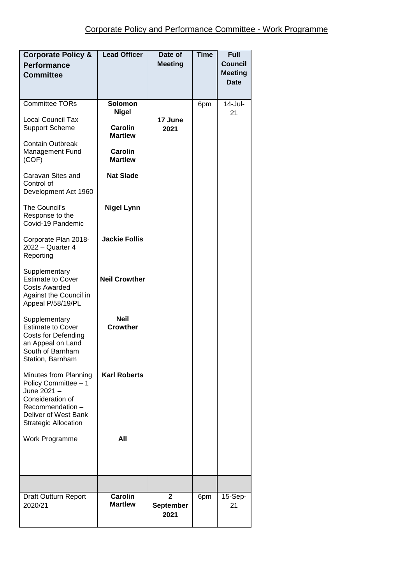| <b>Corporate Policy &amp;</b><br><b>Performance</b><br><b>Committee</b>                                                                                       | <b>Lead Officer</b>                                                                                                 | Date of<br><b>Meeting</b>           | <b>Time</b> | <b>Full</b><br><b>Council</b><br><b>Meeting</b><br><b>Date</b> |
|---------------------------------------------------------------------------------------------------------------------------------------------------------------|---------------------------------------------------------------------------------------------------------------------|-------------------------------------|-------------|----------------------------------------------------------------|
| <b>Committee TORs</b><br><b>Local Council Tax</b><br><b>Support Scheme</b><br><b>Contain Outbreak</b><br><b>Management Fund</b><br>(COF)<br>Caravan Sites and | Solomon<br><b>Nigel</b><br><b>Carolin</b><br><b>Martlew</b><br><b>Carolin</b><br><b>Martlew</b><br><b>Nat Slade</b> | 17 June<br>2021                     | 6pm         | 14-Jul-<br>21                                                  |
| Control of<br>Development Act 1960<br>The Council's<br>Response to the<br>Covid-19 Pandemic                                                                   | <b>Nigel Lynn</b>                                                                                                   |                                     |             |                                                                |
| Corporate Plan 2018-<br>2022 - Quarter 4<br>Reporting                                                                                                         | <b>Jackie Follis</b>                                                                                                |                                     |             |                                                                |
| Supplementary<br><b>Estimate to Cover</b><br><b>Costs Awarded</b><br>Against the Council in<br>Appeal P/58/19/PL                                              | <b>Neil Crowther</b>                                                                                                |                                     |             |                                                                |
| Supplementary<br><b>Estimate to Cover</b><br>Costs for Defending<br>an Appeal on Land<br>South of Barnham<br>Station, Barnham                                 | <b>Neil</b><br><b>Crowther</b>                                                                                      |                                     |             |                                                                |
| Minutes from Planning<br>Policy Committee - 1<br>June 2021 -<br>Consideration of<br>Recommendation -<br>Deliver of West Bank<br><b>Strategic Allocation</b>   | <b>Karl Roberts</b>                                                                                                 |                                     |             |                                                                |
| Work Programme                                                                                                                                                | All                                                                                                                 |                                     |             |                                                                |
|                                                                                                                                                               |                                                                                                                     |                                     |             |                                                                |
| Draft Outturn Report<br>2020/21                                                                                                                               | <b>Carolin</b><br><b>Martlew</b>                                                                                    | $\overline{2}$<br>September<br>2021 | 6pm         | 15-Sep-<br>21                                                  |